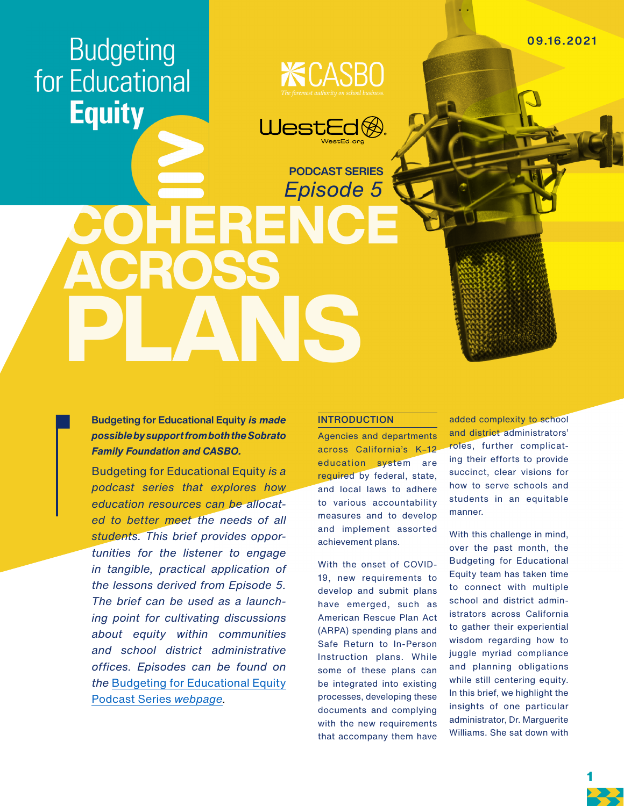09.16.2021

# **Budgeting** for Educational **Equity**





**COHERENCE P** PLANS PODCAST SERIES *Episode 5*

Budgeting for Educational Equity *is made possible by support from both the Sobrato Family Foundation and CASBO.* 

Budgeting for Educational Equity *is a podcast series that explores how education resources can be allocated to better meet the needs of all students. This brief provides opportunities for the listener to engage in tangible, practical application of the lessons derived from Episode 5. The brief can be used as a launching point for cultivating discussions about equity within communities and school district administrative offices. Episodes can be found on the* [Budgeting for Educational Equity](http://wested.org/budgeting-for-educational-equity-podcast-series/)  [Podcast Series](http://wested.org/budgeting-for-educational-equity-podcast-series/) *webpage.*

#### INTRODUCTION

Agencies and departments across California's K–12 education system are required by federal, state, and local laws to adhere to various accountability measures and to develop and implement assorted achievement plans.

With the onset of COVID-19, new requirements to develop and submit plans have emerged, such as American Rescue Plan Act (ARPA) spending plans and Safe Return to In-Person Instruction plans. While some of these plans can be integrated into existing processes, developing these documents and complying with the new requirements that accompany them have

added complexity to school and district administrators' roles, further complicating their efforts to provide succinct, clear visions for how to serve schools and students in an equitable manner.

With this challenge in mind, over the past month, the Budgeting for Educational Equity team has taken time to connect with multiple school and district administrators across California to gather their experiential wisdom regarding how to juggle myriad compliance and planning obligations while still centering equity. In this brief, we highlight the insights of one particular administrator, Dr. Marguerite Williams. She sat down with

**1**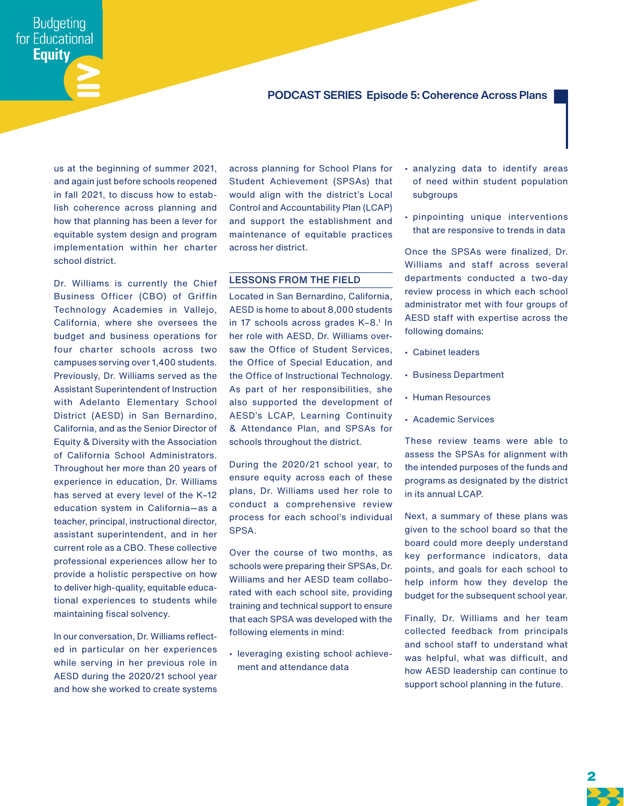### PODCAST SERIES Episode 5: Coherence Across Plans

us at the beginning of summer 2021, and again just before schools reopened in fall 2021, to discuss how to establish coherence across planning and how that planning has been a lever for equitable system design and program implementation within her charter school district.

**Budgeting** for Educational **Equity** 

> Dr. Williams is currently the Chief Business Officer (CBO) of Griffin Technology Academies in Vallejo, California, where she oversees the budget and business operations for four charter schools across two campuses serving over 1,400 students. Previously, Dr. Williams served as the Assistant Superintendent of Instruction with Adelanto Elementary School District (AESD) in San Bernardino, California, and as the Senior Director of Equity & Diversity with the Association of California School Administrators. Throughout her more than 20 years of experience in education, Dr. Williams has served at every level of the K–12 education system in California—as a teacher, principal, instructional director, assistant superintendent, and in her current role as a CBO. These collective professional experiences allow her to provide a holistic perspective on how to deliver high-quality, equitable educational experiences to students while maintaining fiscal solvency.

> In our conversation, Dr. Williams reflected in particular on her experiences while serving in her previous role in AESD during the 2020/21 school year and how she worked to create systems

across planning for School Plans for Student Achievement (SPSAs) that would align with the district's Local Control and Accountability Plan (LCAP) and support the establishment and maintenance of equitable practices across her district.

#### LESSONS FROM THE FIELD

Located in San Bernardino, California, AESD is home to about 8,000 students in 17 schools across grades K-8.<sup>1</sup> In her role with AESD, Dr. Williams oversaw the Office of Student Services, the Office of Special Education, and the Office of Instructional Technology. As part of her responsibilities, she also supported the development of AESD's LCAP, Learning Continuity & Attendance Plan, and SPSAs for schools throughout the district.

During the 2020/21 school year, to ensure equity across each of these plans, Dr. Williams used her role to conduct a comprehensive review process for each school's individual SPSA.

Over the course of two months, as schools were preparing their SPSAs, Dr. Williams and her AESD team collaborated with each school site, providing training and technical support to ensure that each SPSA was developed with the following elements in mind:

• leveraging existing school achievement and attendance data

- analyzing data to identify areas of need within student population subgroups
- pinpointing unique interventions that are responsive to trends in data

Once the SPSAs were finalized, Dr. Williams and staff across several departments conducted a two-day review process in which each school administrator met with four groups of AESD staff with expertise across the following domains:

- Cabinet leaders
- Business Department
- Human Resources
- Academic Services

These review teams were able to assess the SPSAs for alignment with the intended purposes of the funds and programs as designated by the district in its annual LCAP.

Next, a summary of these plans was given to the school board so that the board could more deeply understand key performance indicators, data points, and goals for each school to help inform how they develop the budget for the subsequent school year.

Finally, Dr. Williams and her team collected feedback from principals and school staff to understand what was helpful, what was difficult, and how AESD leadership can continue to support school planning in the future.